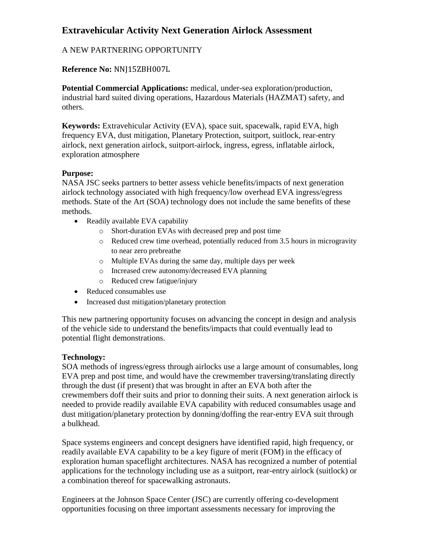# **Extravehicular Activity Next Generation Airlock Assessment**

## A NEW PARTNERING OPPORTUNITY

## **Reference No:** NNJ15ZBH007L

**Potential Commercial Applications:** medical, under-sea exploration/production, industrial hard suited diving operations, Hazardous Materials (HAZMAT) safety, and others.

**Keywords:** Extravehicular Activity (EVA), space suit, spacewalk, rapid EVA, high frequency EVA, dust mitigation, Planetary Protection, suitport, suitlock, rear-entry airlock, next generation airlock, suitport-airlock, ingress, egress, inflatable airlock, exploration atmosphere

#### **Purpose:**

NASA JSC seeks partners to better assess vehicle benefits/impacts of next generation airlock technology associated with high frequency/low overhead EVA ingress/egress methods. State of the Art (SOA) technology does not include the same benefits of these methods.

- Readily available EVA capability
	- o Short-duration EVAs with decreased prep and post time
	- o Reduced crew time overhead, potentially reduced from 3.5 hours in microgravity to near zero prebreathe
	- o Multiple EVAs during the same day, multiple days per week
	- o Increased crew autonomy/decreased EVA planning
	- o Reduced crew fatigue/injury
- Reduced consumables use
- Increased dust mitigation/planetary protection

This new partnering opportunity focuses on advancing the concept in design and analysis of the vehicle side to understand the benefits/impacts that could eventually lead to potential flight demonstrations.

#### **Technology:**

SOA methods of ingress/egress through airlocks use a large amount of consumables, long EVA prep and post time, and would have the crewmember traversing/translating directly through the dust (if present) that was brought in after an EVA both after the crewmembers doff their suits and prior to donning their suits. A next generation airlock is needed to provide readily available EVA capability with reduced consumables usage and dust mitigation/planetary protection by donning/doffing the rear-entry EVA suit through a bulkhead.

Space systems engineers and concept designers have identified rapid, high frequency, or readily available EVA capability to be a key figure of merit (FOM) in the efficacy of exploration human spaceflight architectures. NASA has recognized a number of potential applications for the technology including use as a suitport, rear-entry airlock (suitlock) or a combination thereof for spacewalking astronauts.

Engineers at the Johnson Space Center (JSC) are currently offering co-development opportunities focusing on three important assessments necessary for improving the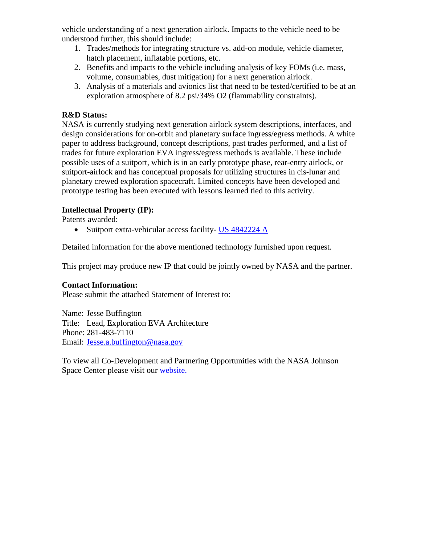vehicle understanding of a next generation airlock. Impacts to the vehicle need to be understood further, this should include:

- 1. Trades/methods for integrating structure vs. add-on module, vehicle diameter, hatch placement, inflatable portions, etc.
- 2. Benefits and impacts to the vehicle including analysis of key FOMs (i.e. mass, volume, consumables, dust mitigation) for a next generation airlock.
- 3. Analysis of a materials and avionics list that need to be tested/certified to be at an exploration atmosphere of 8.2 psi/34% O2 (flammability constraints).

#### **R&D Status:**

NASA is currently studying next generation airlock system descriptions, interfaces, and design considerations for on-orbit and planetary surface ingress/egress methods. A white paper to address background, concept descriptions, past trades performed, and a list of trades for future exploration EVA ingress/egress methods is available. These include possible uses of a suitport, which is in an early prototype phase, rear-entry airlock, or suitport-airlock and has conceptual proposals for utilizing structures in cis-lunar and planetary crewed exploration spacecraft. Limited concepts have been developed and prototype testing has been executed with lessons learned tied to this activity.

#### **Intellectual Property (IP):**

Patents awarded:

• Suitport extra-vehicular access facility- [US 4842224 A](http://www.google.com/url?sa=t&rct=j&q=&esrc=s&source=web&cd=2&ved=0CEIQFjAB&url=http%3A%2F%2Fpatentimages.storage.googleapis.com%2Fpdfs%2FUS6231010.pdf&ei=sG6fUvWCEcmC2AXIv4CoAQ&usg=AFQjCNHQPfYby_8yUC11zJeaAJ3NtDQMjw&bvm=bv.57155469,d.b2I&cad=rja)

Detailed information for the above mentioned technology furnished upon request.

This project may produce new IP that could be jointly owned by NASA and the partner.

#### **Contact Information:**

Please submit the attached Statement of Interest to:

Name: Jesse Buffington Title: Lead, Exploration EVA Architecture Phone: 281-483-7110 Email: [Jesse.a.buffington@nasa.gov](mailto:Jesse.a.buffington@nasa.gov)

To view all Co-Development and Partnering Opportunities with the NASA Johnson Space Center please visit our [website.](http://www.nasa.gov/centers/johnson/partnerships/codevelopment.html)